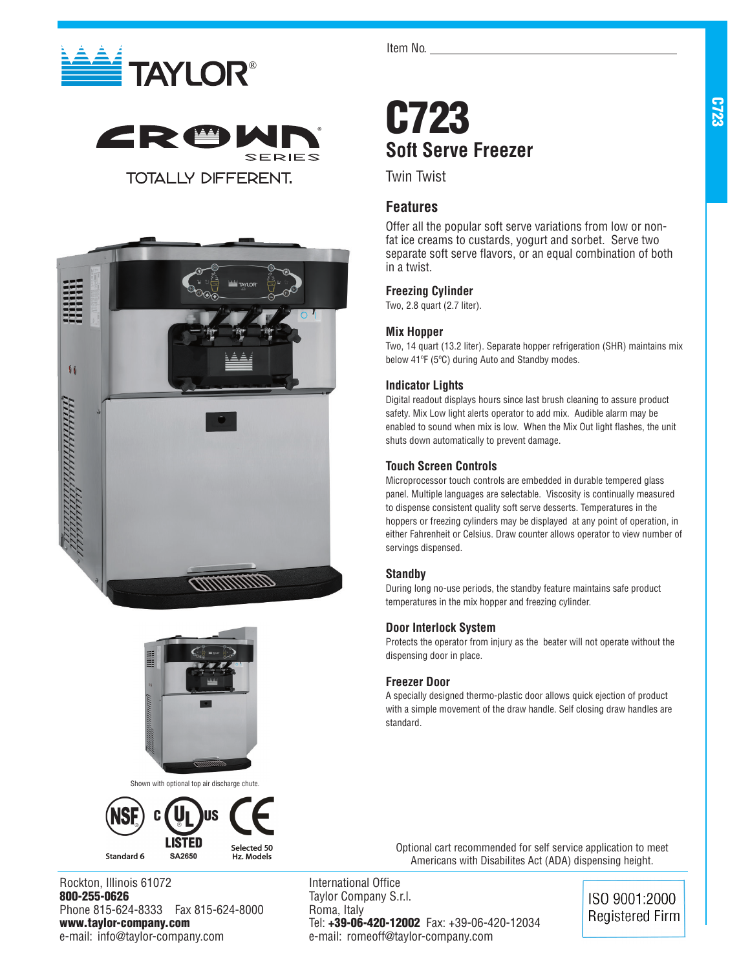







Shown with optional top air discharge chute.



Rockton, Illinois 61072 800-255-0626 Phone 815-624-8333 Fax 815-624-8000 www.taylor-company.com e-mail: info@taylor-company.com

Item No.

## C723 **Soft Serve Freezer**

Twin Twist

### **Features**

Offer all the popular soft serve variations from low or nonfat ice creams to custards, yogurt and sorbet. Serve two separate soft serve flavors, or an equal combination of both in a twist.

### **Freezing Cylinder**

Two, 2.8 quart (2.7 liter).

### **Mix Hopper**

Two, 14 quart (13.2 liter). Separate hopper refrigeration (SHR) maintains mix below 41ºF (5ºC) during Auto and Standby modes.

### **Indicator Lights**

Digital readout displays hours since last brush cleaning to assure product safety. Mix Low light alerts operator to add mix. Audible alarm may be enabled to sound when mix is low. When the Mix Out light flashes, the unit shuts down automatically to prevent damage.

### **Touch Screen Controls**

Microprocessor touch controls are embedded in durable tempered glass panel. Multiple languages are selectable. Viscosity is continually measured to dispense consistent quality soft serve desserts. Temperatures in the hoppers or freezing cylinders may be displayed at any point of operation, in either Fahrenheit or Celsius. Draw counter allows operator to view number of servings dispensed.

### **Standby**

During long no-use periods, the standby feature maintains safe product temperatures in the mix hopper and freezing cylinder.

### **Door Interlock System**

Protects the operator from injury as the beater will not operate without the dispensing door in place.

### **Freezer Door**

A specially designed thermo-plastic door allows quick ejection of product with a simple movement of the draw handle. Self closing draw handles are standard.

Optional cart recommended for self service application to meet Americans with Disabilites Act (ADA) dispensing height.

International Office Taylor Company S.r.l. Roma, Italy Tel: +39-06-420-12002 Fax: +39-06-420-12034 e-mail: romeoff@taylor-company.com